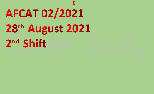0 AFCAT 02/2021 28<sup>th</sup> August 2021 2nd Shift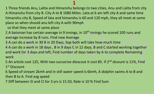1 Three friends Anu, Lalita and Himanshu belongs to two cities, Anu and Lalita from city A Himanshu from city B. City A to B 1080 Miles. Lata at 6 am left city A and same time himanshu city B, Speed of lata and himanshu is 60 and 120 mph, they all meet at same place so when should anu left city A with 90mph

so that they meet at same place

2 A batsman has certain average in 9 innings, in 10<sup>th</sup> innings he scored 100 runs and average increase by 8 runs. Find new Average

3 A can do a work in 30 B in 20 Days, Sop both will take how much time

4 A can do a work in 18 days , B in 9 days C in 12 days, B and C started working together and work for 3 days and left, Find number of days taken by A to complete Remaining work

5 An article cost 125, With two succecive dioscout it cost 85. If 2<sup>nd</sup> dicount is 11%, Find 1 st Discount

6 Speed of stream 2kmh and in still water speed is 6kmh, A dolphin swims A to B and then B to A. Find avg speed

7 Diff between SI and CI for 3 yrs is 15.50, Rate is 10 % Find Sum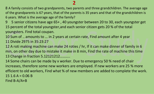8 A family consists of two grandparents, two parents and three grandchildren. The average age of the grandparents is 67 years, that of the parents is 35 years and that of the grandchildren is 6 years. What is the average age of the family?

9 5 senior citizens have age 65+ , 40 youngster between 20 to 30, each youngster get

15 percent of the total youngster,and each senior citizen gets 20 % of the total youngsters. Find total coupan.

10 Sum of .. amounts to … in 2 years at certain rate, Find amount after 4 year 11 Divide 2975 in 35:23:27

12 A roti making machine can make 24 roties / hr, If it can make dinner of family in 6 min, on other day due to mistake it make in 8 min, Find the rate of machine this time 13 Change in fraction 5.12121212...........

14 Some chairs can be made by x worker. Due to emergency 50 % need of chair increases, therefore some new workers are employed. If new workers are 25 % more efficient to old workers, Find what % of new members are added to complete the work.  $15$  1.6 A = 0.06 B

Find B-A/A+B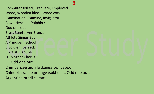# 3

Computer skilled, Graduate, Employed Wood, Wooden block, Wood cock Examination, Examine, Invigilator Cow : Herd :: Dolphin : Odd one out Brass Steel silver Bronze Athlete Singer Boy A Principal : School B Soldier : Barrack C Artist : Troupe D. Singer : Chorus E. Odd one out Chimpanzee :gorilla :kangaroo :baboon Chinook : rafale :mirage :sukhoi..... Odd one out. Argentina:brazil :: iran:.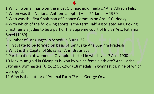- Which woman has won the most Olympic gold medals? Ans. Allyson Felix
- When was the National Anthem adopted Ans. 24 January 1950
- Who was the first Chairman of Finance Commission Ans. K.C. Neogy
- With which of the following sports is the term 'Jab' associated Ans. Boxing
- first female judge to be a part of the Supreme court of India? Ans. Fathima Beevi (1989)
- Number of Languages in Schedule 8 Ans. 22
- First state to be formed on basis of Language Ans. Andhra Pradesh
- What is the Capital of Slovakia? Ans. Bratislava
- Participation of women in Olympics started in which year? Ans. 1900
- 10 Maximum gold in Olympics is won by which female athlete? Ans. Larisa Latynina, gymnastics (URS, 1956-1964) 18 medals in gymnastics, nine of which were gold.
- Who is the author of 'Animal Farm '? Ans. George Orwell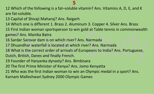### 

 Which of the following is a fat–soluble vitamin? Ans. Vitamins A, D, E, and K are fat-soluble.

- Capital of Shivaji Maharaj? Ans. Raigarh
- Which one is different 1. Brass 2. Aluminum 3. Copper 4. Silver Ans. Brass

 First Indian woman sportsperson to win gold at Table tennis in commonwealth games? Ans. Manika Batra

- Sardar Sarovar dam is on which river? Ans. Narmada
- Dhuandhar waterfall is located at which river? Ans. Narmada
- What is the correct order of arrivals of Europeans to India? Ans. Portuguese, Dutch, British, Danes and finally French.
- 
- Founder of Haryanka dynasty? Ans. Bimbisara
- The first Prime Minister of Kenya? Ans. Jomo Kenyatta
- Who was the first Indian woman to win an Olympic medal in a sport? Ans. Karnam Malleshwari Sydney 2000 Olympic Games